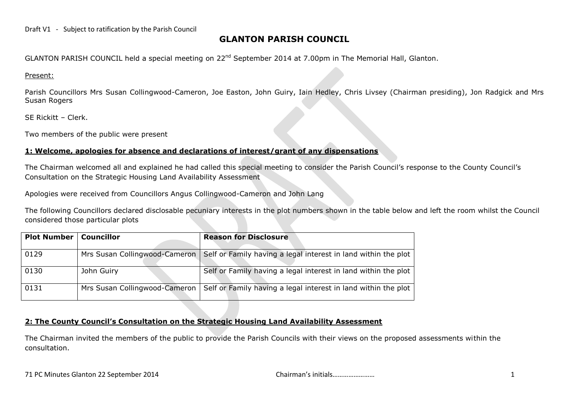#### Draft V1 - Subject to ratification by the Parish Council

# **GLANTON PARISH COUNCIL**

GLANTON PARISH COUNCIL held a special meeting on 22<sup>nd</sup> September 2014 at 7.00pm in The Memorial Hall, Glanton.

Present:

Parish Councillors Mrs Susan Collingwood-Cameron, Joe Easton, John Guiry, Iain Hedley, Chris Livsey (Chairman presiding), Jon Radgick and Mrs Susan Rogers

SE Rickitt – Clerk.

Two members of the public were present

# **1: Welcome, apologies for absence and declarations of interest/grant of any dispensations**

The Chairman welcomed all and explained he had called this special meeting to consider the Parish Council's response to the County Council's Consultation on the Strategic Housing Land Availability Assessment

Apologies were received from Councillors Angus Collingwood-Cameron and John Lang

The following Councillors declared disclosable pecuniary interests in the plot numbers shown in the table below and left the room whilst the Council considered those particular plots

| <b>Plot Number</b> | <b>Councillor</b>             | <b>Reason for Disclosure</b>                                   |
|--------------------|-------------------------------|----------------------------------------------------------------|
| 0129               | Mrs Susan Collingwood-Cameron | Self or Family having a legal interest in land within the plot |
| 0130               | John Guiry                    | Self or Family having a legal interest in land within the plot |
| 0131               | Mrs Susan Collingwood-Cameron | Self or Family having a legal interest in land within the plot |

# **2: The County Council's Consultation on the Strategic Housing Land Availability Assessment**

The Chairman invited the members of the public to provide the Parish Councils with their views on the proposed assessments within the consultation.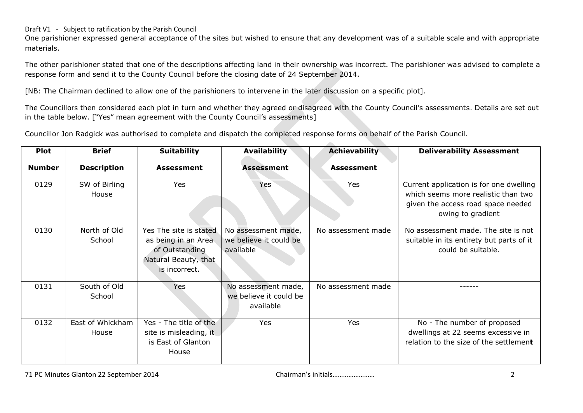# Draft V1 - Subject to ratification by the Parish Council

One parishioner expressed general acceptance of the sites but wished to ensure that any development was of a suitable scale and with appropriate materials.

The other parishioner stated that one of the descriptions affecting land in their ownership was incorrect. The parishioner was advised to complete a response form and send it to the County Council before the closing date of 24 September 2014.

[NB: The Chairman declined to allow one of the parishioners to intervene in the later discussion on a specific plot].

The Councillors then considered each plot in turn and whether they agreed or disagreed with the County Council's assessments. Details are set out in the table below. ["Yes" mean agreement with the County Council's assessments]

Councillor Jon Radgick was authorised to complete and dispatch the completed response forms on behalf of the Parish Council.

| <b>Plot</b>   | <b>Brief</b>              | <b>Suitability</b>                                                                                       | <b>Availability</b>                                        | Achievability      | <b>Deliverability Assessment</b>                                                                                                          |
|---------------|---------------------------|----------------------------------------------------------------------------------------------------------|------------------------------------------------------------|--------------------|-------------------------------------------------------------------------------------------------------------------------------------------|
| <b>Number</b> | <b>Description</b>        | <b>Assessment</b>                                                                                        | <b>Assessment</b>                                          | <b>Assessment</b>  |                                                                                                                                           |
| 0129          | SW of Birling<br>House    | Yes                                                                                                      | <b>Yes</b>                                                 | Yes                | Current application is for one dwelling<br>which seems more realistic than two<br>given the access road space needed<br>owing to gradient |
| 0130          | North of Old<br>School    | Yes The site is stated<br>as being in an Area<br>of Outstanding<br>Natural Beauty, that<br>is incorrect. | No assessment made,<br>we believe it could be<br>available | No assessment made | No assessment made. The site is not<br>suitable in its entirety but parts of it<br>could be suitable.                                     |
| 0131          | South of Old<br>School    | Yes                                                                                                      | No assessment made,<br>we believe it could be<br>available | No assessment made |                                                                                                                                           |
| 0132          | East of Whickham<br>House | Yes - The title of the<br>site is misleading, it<br>is East of Glanton<br>House                          | Yes                                                        | Yes                | No - The number of proposed<br>dwellings at 22 seems excessive in<br>relation to the size of the settlement                               |

71 PC Minutes Glanton 22 September 2014 Chairman's initials…………………… 2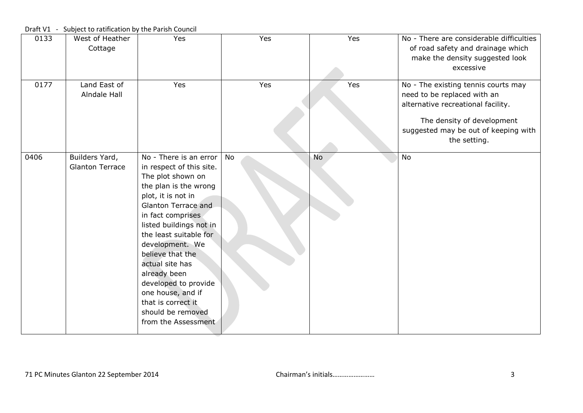| 0133 | West of Heather<br>Cottage               | Yes                                                                                                                                                                                                                                                                                                                                                                                                              | Yes | Yes       | No - There are considerable difficulties<br>of road safety and drainage which<br>make the density suggested look<br>excessive                                                                  |
|------|------------------------------------------|------------------------------------------------------------------------------------------------------------------------------------------------------------------------------------------------------------------------------------------------------------------------------------------------------------------------------------------------------------------------------------------------------------------|-----|-----------|------------------------------------------------------------------------------------------------------------------------------------------------------------------------------------------------|
| 0177 | Land East of<br>Alndale Hall             | Yes                                                                                                                                                                                                                                                                                                                                                                                                              | Yes | Yes       | No - The existing tennis courts may<br>need to be replaced with an<br>alternative recreational facility.<br>The density of development<br>suggested may be out of keeping with<br>the setting. |
| 0406 | Builders Yard,<br><b>Glanton Terrace</b> | No - There is an error<br>in respect of this site.<br>The plot shown on<br>the plan is the wrong<br>plot, it is not in<br>Glanton Terrace and<br>in fact comprises<br>listed buildings not in<br>the least suitable for<br>development. We<br>believe that the<br>actual site has<br>already been<br>developed to provide<br>one house, and if<br>that is correct it<br>should be removed<br>from the Assessment | No  | <b>No</b> | <b>No</b>                                                                                                                                                                                      |